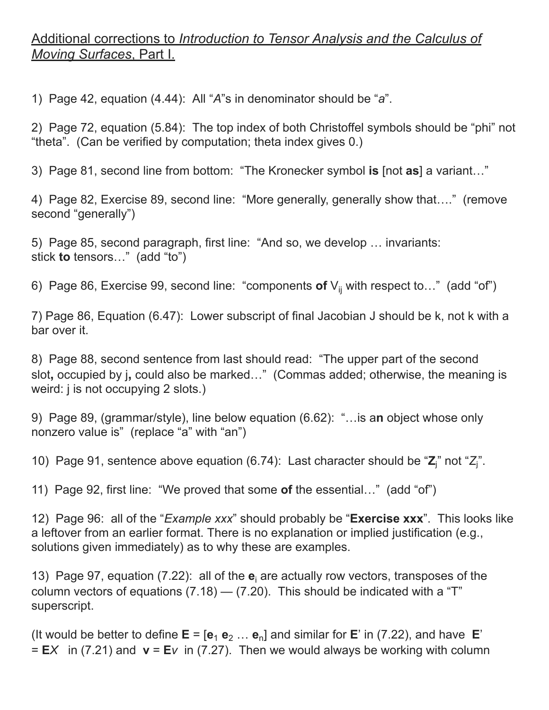## Additional corrections to *Introduction to Tensor Analysis and the Calculus of Moving Surfaces*, Part I.

1) Page 42, equation (4.44): All "*A*"s in denominator should be "*a*".

2) Page 72, equation (5.84): The top index of both Christoffel symbols should be "phi" not "theta". (Can be verified by computation; theta index gives 0.)

3) Page 81, second line from bottom: "The Kronecker symbol **is** [not **as**] a variant…"

4) Page 82, Exercise 89, second line: "More generally, generally show that…." (remove second "generally")

5) Page 85, second paragraph, first line: "And so, we develop … invariants: stick **to** tensors…" (add "to")

6) Page 86, Exercise 99, second line: "components **of** V<sub>ii</sub> with respect to..." (add "of")

7) Page 86, Equation (6.47): Lower subscript of final Jacobian J should be k, not k with a bar over it.

8) Page 88, second sentence from last should read: "The upper part of the second slot**,** occupied by j**,** could also be marked…" (Commas added; otherwise, the meaning is weird: j is not occupying 2 slots.)

9) Page 89, (grammar/style), line below equation (6.62): "…is a**n** object whose only nonzero value is" (replace "a" with "an")

10) Page 91, sentence above equation (6.74): Last character should be "**Z**j" not "*Z*j".

11) Page 92, first line: "We proved that some **of** the essential…" (add "of")

12) Page 96: all of the "*Example xxx*" should probably be "**Exercise xxx**". This looks like a leftover from an earlier format. There is no explanation or implied justification (e.g., solutions given immediately) as to why these are examples.

13) Page 97, equation (7.22): all of the **e**<sup>i</sup> are actually row vectors, transposes of the column vectors of equations  $(7.18)$  -  $(7.20)$ . This should be indicated with a "T" superscript.

(It would be better to define  $\mathbf{E} = [\mathbf{e}_1 \ \mathbf{e}_2 \ \dots \ \mathbf{e}_n]$  and similar for  $\mathbf{E}'$  in (7.22), and have  $\mathbf{E}'$  $= E X$  in (7.21) and  $v = E v$  in (7.27). Then we would always be working with column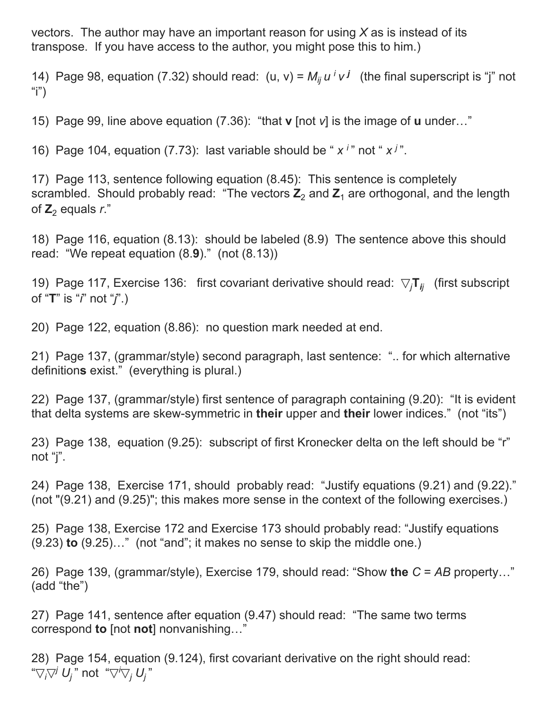vectors. The author may have an important reason for using *X* as is instead of its transpose. If you have access to the author, you might pose this to him.)

14) Page 98, equation (7.32) should read: (u, v) =  $M_{ij} u^i v^j$  (the final superscript is "j" not "i")

15) Page 99, line above equation (7.36): "that **v** [not *v*] is the image of **u** under…"

16) Page 104, equation (7.73): last variable should be " $x^i$ " not " $x^j$ ".

17) Page 113, sentence following equation (8.45): This sentence is completely scrambled. Should probably read: "The vectors  $Z_2$  and  $Z_1$  are orthogonal, and the length of  $\mathbb{Z}_2$  equals  $r$ ."

18) Page 116, equation (8.13): should be labeled (8.9) The sentence above this should read: "We repeat equation (8.**9**)." (not (8.13))

19) Page 117, Exercise 136: first covariant derivative should read: ▽*j***T***i<sup>j</sup>* (first subscript of "**T**" is "*i*" not "*j*".)

20) Page 122, equation (8.86): no question mark needed at end.

21) Page 137, (grammar/style) second paragraph, last sentence: ".. for which alternative definition**s** exist." (everything is plural.)

22) Page 137, (grammar/style) first sentence of paragraph containing (9.20): "It is evident that delta systems are skew-symmetric in **their** upper and **their** lower indices." (not "its")

23) Page 138, equation (9.25): subscript of first Kronecker delta on the left should be "r" not "j".

24) Page 138, Exercise 171, should probably read: "Justify equations (9.21) and (9.22)." (not "(9.21) and (9.25)"; this makes more sense in the context of the following exercises.)

25) Page 138, Exercise 172 and Exercise 173 should probably read: "Justify equations (9.23) **to** (9.25)…" (not "and"; it makes no sense to skip the middle one.)

26) Page 139, (grammar/style), Exercise 179, should read: "Show **the** *C* = *AB* property…" (add "the")

27) Page 141, sentence after equation (9.47) should read: "The same two terms correspond **to** [not **not**] nonvanishing…"

28) Page 154, equation (9.124), first covariant derivative on the right should read: " $\bigtriangledown_{i}\!\!\bigtriangledown^{j}U_{j}$  " not " $\bigtriangledown^{j}\!\!\bigtriangledown_{j}U_{j}$  "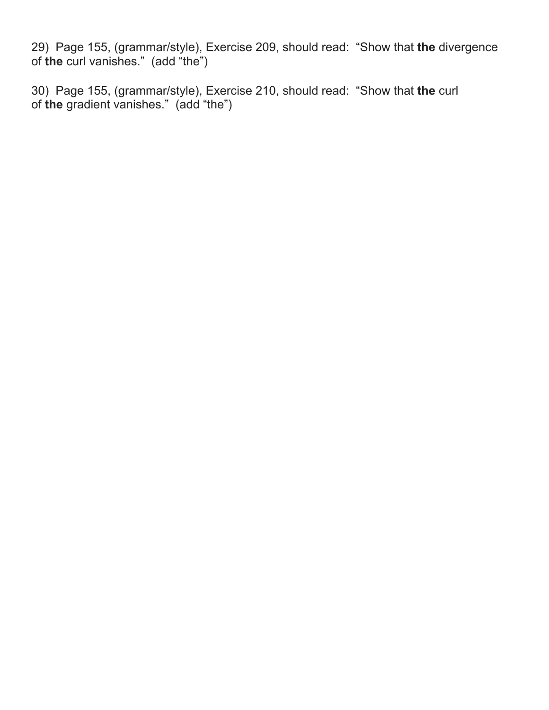29) Page 155, (grammar/style), Exercise 209, should read: "Show that **the** divergence of **the** curl vanishes." (add "the")

30) Page 155, (grammar/style), Exercise 210, should read: "Show that **the** curl of **the** gradient vanishes." (add "the")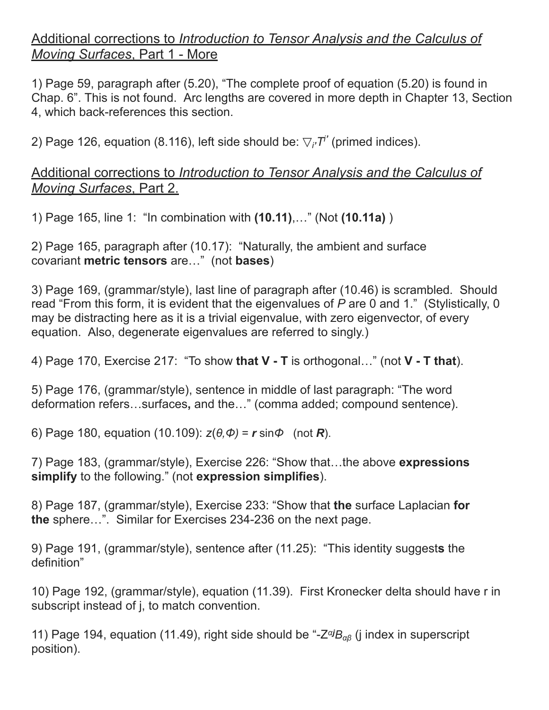## Additional corrections to *Introduction to Tensor Analysis and the Calculus of Moving Surfaces*, Part 1 - More

1) Page 59, paragraph after (5.20), "The complete proof of equation (5.20) is found in Chap. 6". This is not found. Arc lengths are covered in more depth in Chapter 13, Section 4, which back-references this section.

2) Page 126, equation (8.116), left side should be:  $\nabla_{i'} T'$  (primed indices).

## Additional corrections to *Introduction to Tensor Analysis and the Calculus of Moving Surfaces*, Part 2.

1) Page 165, line 1: "In combination with **(10.11)**,…" (Not **(10.11a)** )

2) Page 165, paragraph after (10.17): "Naturally, the ambient and surface covariant **metric tensors** are…" (not **bases**)

3) Page 169, (grammar/style), last line of paragraph after (10.46) is scrambled. Should read "From this form, it is evident that the eigenvalues of *P* are 0 and 1." (Stylistically, 0 may be distracting here as it is a trivial eigenvalue, with zero eigenvector, of every equation. Also, degenerate eigenvalues are referred to singly.)

4) Page 170, Exercise 217: "To show **that V - T** is orthogonal…" (not **V - T that**).

5) Page 176, (grammar/style), sentence in middle of last paragraph: "The word deformation refers…surfaces**,** and the…" (comma added; compound sentence).

6) Page 180, equation (10.109): *z*(*θ,Φ)* = *r* sin*Φ* (not *R*).

7) Page 183, (grammar/style), Exercise 226: "Show that…the above **expressions simplify** to the following." (not **expression simplifies**).

8) Page 187, (grammar/style), Exercise 233: "Show that **the** surface Laplacian **for the** sphere…". Similar for Exercises 234-236 on the next page.

9) Page 191, (grammar/style), sentence after (11.25): "This identity suggest**s** the definition"

10) Page 192, (grammar/style), equation (11.39). First Kronecker delta should have r in subscript instead of j, to match convention.

11) Page 194, equation (11.49), right side should be "-Z*α<sup>j</sup>Bαβ* (j index in superscript position).